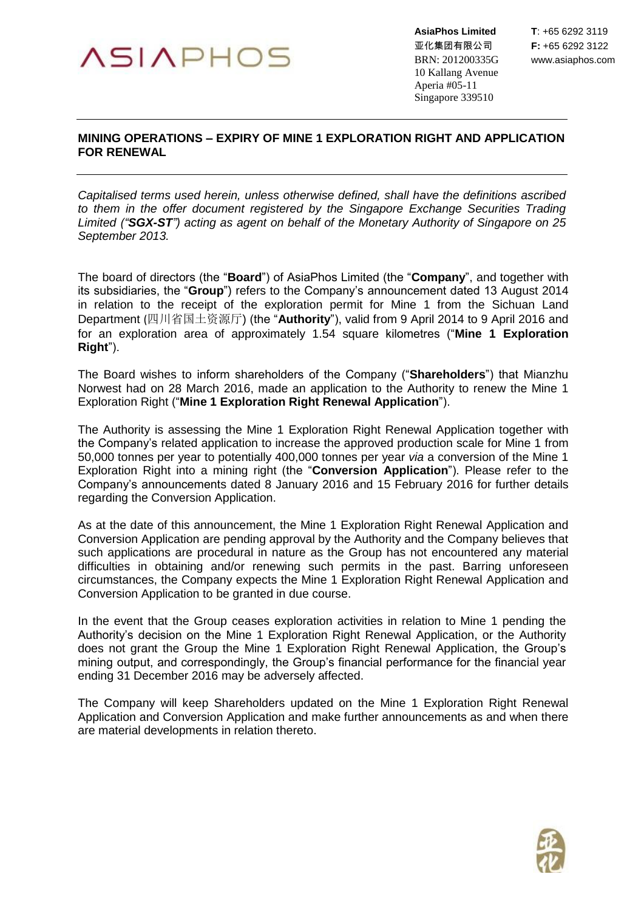## **ASIAPHOS**

亚化集团有限公司 **F:** +65 6292 3122 BRN: 201200335G www.asiaphos.com 10 Kallang Avenue Aperia #05-11 Singapore 339510

## **MINING OPERATIONS – EXPIRY OF MINE 1 EXPLORATION RIGHT AND APPLICATION FOR RENEWAL**

*Capitalised terms used herein, unless otherwise defined, shall have the definitions ascribed to them in the offer document registered by the Singapore Exchange Securities Trading Limited ("SGX-ST") acting as agent on behalf of the Monetary Authority of Singapore on 25 September 2013.*

The board of directors (the "**Board**") of AsiaPhos Limited (the "**Company**", and together with its subsidiaries, the "**Group**") refers to the Company's announcement dated 13 August 2014 in relation to the receipt of the exploration permit for Mine 1 from the Sichuan Land Department (四川省国土资源厅) (the "**Authority**"), valid from 9 April 2014 to 9 April 2016 and for an exploration area of approximately 1.54 square kilometres ("**Mine 1 Exploration Right**").

The Board wishes to inform shareholders of the Company ("**Shareholders**") that Mianzhu Norwest had on 28 March 2016, made an application to the Authority to renew the Mine 1 Exploration Right ("**Mine 1 Exploration Right Renewal Application**").

The Authority is assessing the Mine 1 Exploration Right Renewal Application together with the Company's related application to increase the approved production scale for Mine 1 from 50,000 tonnes per year to potentially 400,000 tonnes per year *via* a conversion of the Mine 1 Exploration Right into a mining right (the "**Conversion Application**"). Please refer to the Company's announcements dated 8 January 2016 and 15 February 2016 for further details regarding the Conversion Application.

As at the date of this announcement, the Mine 1 Exploration Right Renewal Application and Conversion Application are pending approval by the Authority and the Company believes that such applications are procedural in nature as the Group has not encountered any material difficulties in obtaining and/or renewing such permits in the past. Barring unforeseen circumstances, the Company expects the Mine 1 Exploration Right Renewal Application and Conversion Application to be granted in due course.

In the event that the Group ceases exploration activities in relation to Mine 1 pending the Authority's decision on the Mine 1 Exploration Right Renewal Application, or the Authority does not grant the Group the Mine 1 Exploration Right Renewal Application, the Group's mining output, and correspondingly, the Group's financial performance for the financial year ending 31 December 2016 may be adversely affected.

The Company will keep Shareholders updated on the Mine 1 Exploration Right Renewal Application and Conversion Application and make further announcements as and when there are material developments in relation thereto.